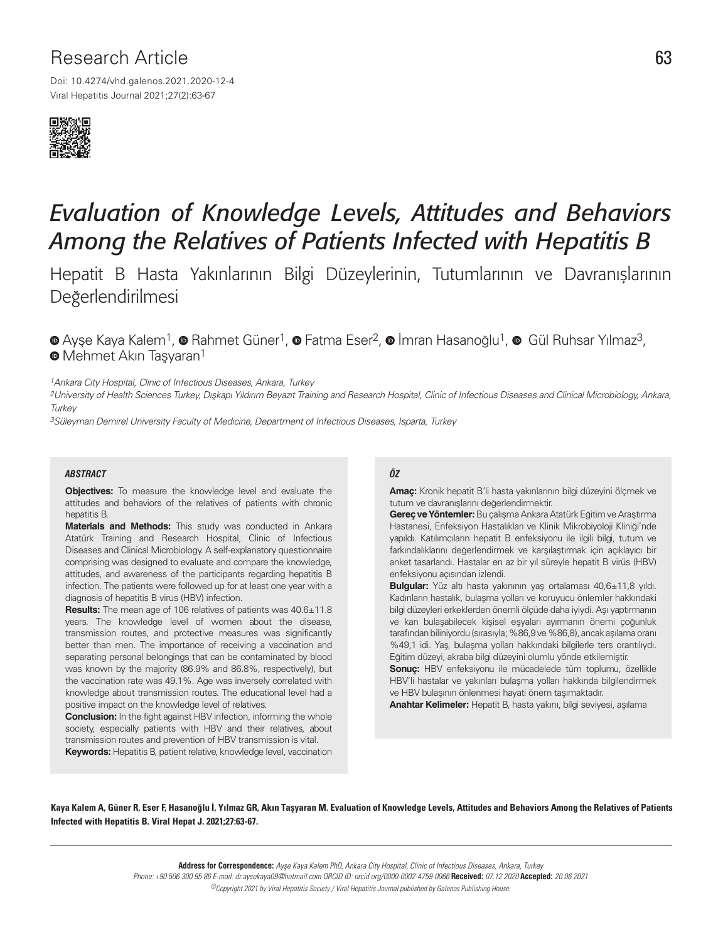## Research Article 63

Viral Hepatitis Journal 2021;27(2):63-67 Doi: 10.4274/vhd.galenos.2021.2020-12-4



# *Evaluation of Knowledge Levels, Attitudes and Behaviors Among the Relatives of Patients Infected with Hepatitis B*

Hepatit B Hasta Yakınlarının Bilgi Düzeylerinin, Tutumlarının ve Davranışlarının Değerlendirilmesi

 $\bullet$ Ayşe Kaya Kalem<sup>1</sup>,  $\bullet$  Rahmet Güner<sup>1</sup>,  $\bullet$  Fatma Eser<sup>2</sup>,  $\bullet$  İmran Hasanoğlu<sup>1</sup>,  $\bullet$  Gül Ruhsar Yılmaz<sup>3</sup>, **<sup>O</sup>**Mehmet Akın Tasyaran<sup>1</sup>

<sup>1</sup> Ankara City Hospital, Clinic of Infectious Diseases, Ankara, Turkey

2University of Health Sciences Turkey, Dışkapı Yıldırım Beyazıt Training and Research Hospital, Clinic of Infectious Diseases and Clinical Microbiology, Ankara, **Turkey** 

3Süleyman Demirel University Faculty of Medicine, Department of Infectious Diseases, Isparta, Turkey

#### *ABSTRACT ÖZ*

**Objectives:** To measure the knowledge level and evaluate the attitudes and behaviors of the relatives of patients with chronic hepatitis B.

**Materials and Methods:** This study was conducted in Ankara Atatürk Training and Research Hospital, Clinic of Infectious Diseases and Clinical Microbiology. A self-explanatory questionnaire comprising was designed to evaluate and compare the knowledge, attitudes, and awareness of the participants regarding hepatitis B infection. The patients were followed up for at least one year with a diagnosis of hepatitis B virus (HBV) infection.

**Results:** The mean age of 106 relatives of patients was 40.6±11.8 years. The knowledge level of women about the disease, transmission routes, and protective measures was significantly better than men. The importance of receiving a vaccination and separating personal belongings that can be contaminated by blood was known by the majority (86.9% and 86.8%, respectively), but the vaccination rate was 49.1%. Age was inversely correlated with knowledge about transmission routes. The educational level had a positive impact on the knowledge level of relatives.

**Conclusion:** In the fight against HBV infection, informing the whole society, especially patients with HBV and their relatives, about transmission routes and prevention of HBV transmission is vital. **Keywords:** Hepatitis B, patient relative, knowledge level, vaccination

**Amaç:** Kronik hepatit B'li hasta yakınlarının bilgi düzeyini ölçmek ve tutum ve davranışlarını değerlendirmektir.

**Gereç ve Yöntemler:** Bu çalışma Ankara Atatürk Eğitim ve Araştırma Hastanesi, Enfeksiyon Hastalıkları ve Klinik Mikrobiyoloji Kliniği'nde yapıldı. Katılımcıların hepatit B enfeksiyonu ile ilgili bilgi, tutum ve farkındalıklarını değerlendirmek ve karşılaştırmak için açıklayıcı bir anket tasarlandı. Hastalar en az bir yıl süreyle hepatit B virüs (HBV) enfeksiyonu açısından izlendi.

**Bulgular:** Yüz altı hasta yakınının yaş ortalaması 40,6±11,8 yıldı. Kadınların hastalık, bulaşma yolları ve koruyucu önlemler hakkındaki bilgi düzeyleri erkeklerden önemli ölçüde daha iyiydi. Aşı yaptırmanın ve kan bulaşabilecek kişisel eşyaları ayırmanın önemi çoğunluk tarafından biliniyordu (sırasıyla; %86,9 ve %86,8), ancak aşılama oranı %49,1 idi. Yaş, bulaşma yolları hakkındaki bilgilerle ters orantılıydı. Eğitim düzeyi, akraba bilgi düzeyini olumlu yönde etkilemiştir.

**Sonuç:** HBV enfeksiyonu ile mücadelede tüm toplumu, özellikle HBV'li hastalar ve yakınları bulaşma yolları hakkında bilgilendirmek ve HBV bulaşının önlenmesi hayati önem taşımaktadır.

**Anahtar Kelimeler:** Hepatit B, hasta yakını, bilgi seviyesi, aşılama

Kaya Kalem A, Güner R, Eser F, Hasanoğlu İ, Yılmaz GR, Akın Taşyaran M. Evaluation of Knowledge Levels, Attitudes and Behaviors Among the Relatives of Patients Infected with Hepatitis B. Viral Hepat J. 2021;27:63-67.

> **Address for Correspondence:** Ayşe Kaya Kalem PhD, Ankara City Hospital, Clinic of Infectious Diseases, Ankara, Turkey Phone: +90 506 300 95 86 E-mail: dr.aysekaya09@hotmail.com ORCID ID: orcid.org/0000-0002-4759-0066 **Received:** 07.12.2020 **Accepted:** 20.06.2021

©Copyright 2021 by Viral Hepatitis Society / Viral Hepatitis Journal published by Galenos Publishing House.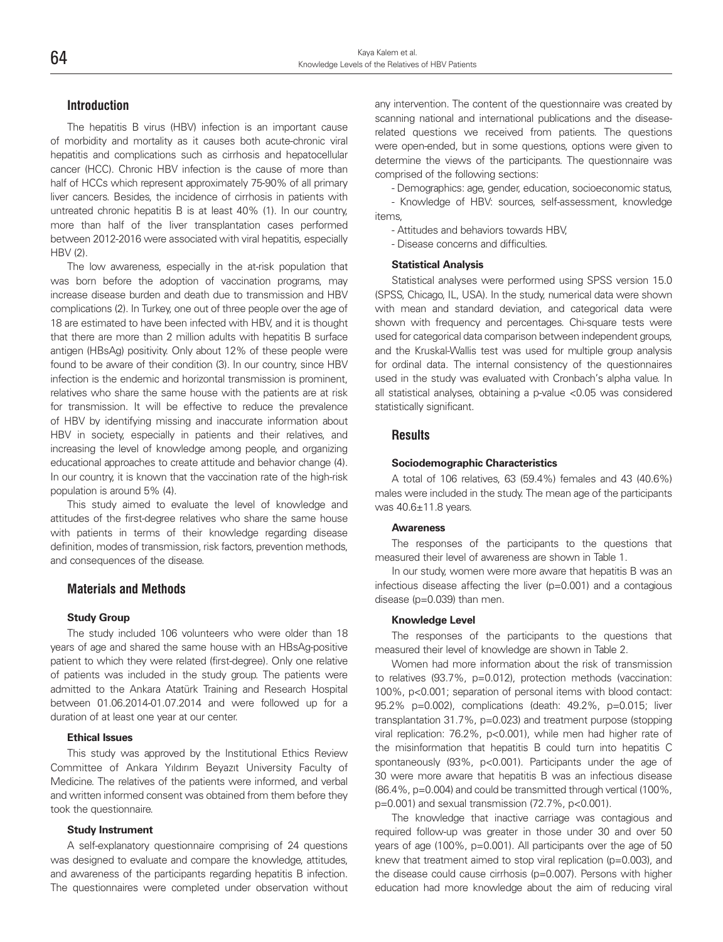#### **Introduction**

The hepatitis B virus (HBV) infection is an important cause of morbidity and mortality as it causes both acute-chronic viral hepatitis and complications such as cirrhosis and hepatocellular cancer (HCC). Chronic HBV infection is the cause of more than half of HCCs which represent approximately 75-90% of all primary liver cancers. Besides, the incidence of cirrhosis in patients with untreated chronic hepatitis B is at least 40% (1). In our country, more than half of the liver transplantation cases performed between 2012-2016 were associated with viral hepatitis, especially HBV (2).

The low awareness, especially in the at-risk population that was born before the adoption of vaccination programs, may increase disease burden and death due to transmission and HBV complications (2). In Turkey, one out of three people over the age of 18 are estimated to have been infected with HBV, and it is thought that there are more than 2 million adults with hepatitis B surface antigen (HBsAg) positivity. Only about 12% of these people were found to be aware of their condition (3). In our country, since HBV infection is the endemic and horizontal transmission is prominent, relatives who share the same house with the patients are at risk for transmission. It will be effective to reduce the prevalence of HBV by identifying missing and inaccurate information about HBV in society, especially in patients and their relatives, and increasing the level of knowledge among people, and organizing educational approaches to create attitude and behavior change (4). In our country, it is known that the vaccination rate of the high-risk population is around 5% (4).

This study aimed to evaluate the level of knowledge and attitudes of the first-degree relatives who share the same house with patients in terms of their knowledge regarding disease definition, modes of transmission, risk factors, prevention methods, and consequences of the disease.

#### **Materials and Methods**

#### **Study Group**

The study included 106 volunteers who were older than 18 years of age and shared the same house with an HBsAg-positive patient to which they were related (first-degree). Only one relative of patients was included in the study group. The patients were admitted to the Ankara Atatürk Training and Research Hospital between 01.06.2014-01.07.2014 and were followed up for a duration of at least one year at our center.

#### **Ethical Issues**

This study was approved by the Institutional Ethics Review Committee of Ankara Yıldırım Beyazıt University Faculty of Medicine. The relatives of the patients were informed, and verbal and written informed consent was obtained from them before they took the questionnaire.

#### **Study Instrument**

A self-explanatory questionnaire comprising of 24 questions was designed to evaluate and compare the knowledge, attitudes, and awareness of the participants regarding hepatitis B infection. The questionnaires were completed under observation without any intervention. The content of the questionnaire was created by scanning national and international publications and the diseaserelated questions we received from patients. The questions were open-ended, but in some questions, options were given to determine the views of the participants. The questionnaire was comprised of the following sections:

- Demographics: age, gender, education, socioeconomic status,

- Knowledge of HBV: sources, self-assessment, knowledge items,

- Attitudes and behaviors towards HBV,

- Disease concerns and difficulties.

#### **Statistical Analysis**

Statistical analyses were performed using SPSS version 15.0 (SPSS, Chicago, IL, USA). In the study, numerical data were shown with mean and standard deviation, and categorical data were shown with frequency and percentages. Chi-square tests were used for categorical data comparison between independent groups, and the Kruskal-Wallis test was used for multiple group analysis for ordinal data. The internal consistency of the questionnaires used in the study was evaluated with Cronbach's alpha value. In all statistical analyses, obtaining a p-value <0.05 was considered statistically significant.

#### **Results**

#### **Sociodemographic Characteristics**

A total of 106 relatives, 63 (59.4%) females and 43 (40.6%) males were included in the study. The mean age of the participants was 40.6±11.8 years.

#### **Awareness**

The responses of the participants to the questions that measured their level of awareness are shown in Table 1.

In our study, women were more aware that hepatitis B was an infectious disease affecting the liver (p=0.001) and a contagious disease (p=0.039) than men.

#### **Knowledge Level**

The responses of the participants to the questions that measured their level of knowledge are shown in Table 2.

Women had more information about the risk of transmission to relatives (93.7%, p=0.012), protection methods (vaccination: 100%, p<0.001; separation of personal items with blood contact: 95.2% p=0.002), complications (death: 49.2%, p=0.015; liver transplantation 31.7%, p=0.023) and treatment purpose (stopping viral replication: 76.2%, p<0.001), while men had higher rate of the misinformation that hepatitis B could turn into hepatitis C spontaneously (93%, p<0.001). Participants under the age of 30 were more aware that hepatitis B was an infectious disease (86.4%, p=0.004) and could be transmitted through vertical (100%, p=0.001) and sexual transmission (72.7%, p<0.001).

The knowledge that inactive carriage was contagious and required follow-up was greater in those under 30 and over 50 years of age (100%, p=0.001). All participants over the age of 50 knew that treatment aimed to stop viral replication (p=0.003), and the disease could cause cirrhosis (p=0.007). Persons with higher education had more knowledge about the aim of reducing viral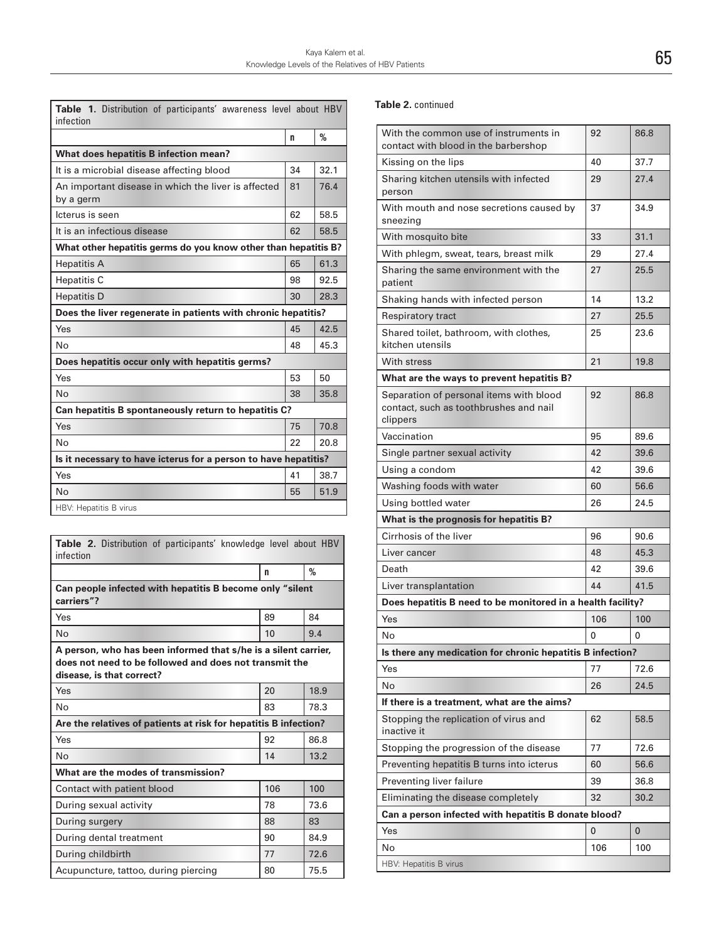| Table 1. Distribution of participants' awareness level about HBV<br>infection |    |      |  |
|-------------------------------------------------------------------------------|----|------|--|
|                                                                               | n  | %    |  |
| What does hepatitis B infection mean?                                         |    |      |  |
| It is a microbial disease affecting blood                                     | 34 | 32.1 |  |
| An important disease in which the liver is affected<br>by a germ              | 81 | 76.4 |  |
| Icterus is seen                                                               | 62 | 58.5 |  |
| It is an infectious disease                                                   | 62 | 58.5 |  |
| What other hepatitis germs do you know other than hepatitis B?                |    |      |  |
| <b>Hepatitis A</b>                                                            | 65 | 61.3 |  |
| <b>Hepatitis C</b>                                                            | 98 | 92.5 |  |
| <b>Hepatitis D</b>                                                            | 30 | 28.3 |  |
| Does the liver regenerate in patients with chronic hepatitis?                 |    |      |  |
| Yes                                                                           | 45 | 42.5 |  |
| <b>No</b>                                                                     | 48 | 45.3 |  |
| Does hepatitis occur only with hepatitis germs?                               |    |      |  |
| Yes                                                                           | 53 | 50   |  |
| No                                                                            | 38 | 35.8 |  |
| Can hepatitis B spontaneously return to hepatitis C?                          |    |      |  |
| Yes                                                                           | 75 | 70.8 |  |
| <b>No</b>                                                                     | 22 | 20.8 |  |
| Is it necessary to have icterus for a person to have hepatitis?               |    |      |  |
| Yes                                                                           | 41 | 38.7 |  |
| No                                                                            | 55 | 51.9 |  |
| HBV: Hepatitis B virus                                                        |    |      |  |

| <b>Table 2.</b> Distribution of participants' knowledge level about HBV<br>infection                                                                  |     |               |  |
|-------------------------------------------------------------------------------------------------------------------------------------------------------|-----|---------------|--|
|                                                                                                                                                       | n   | $\frac{9}{6}$ |  |
| Can people infected with hepatitis B become only "silent"<br>carriers"?                                                                               |     |               |  |
| Yes                                                                                                                                                   | 89  | 84            |  |
| <b>No</b>                                                                                                                                             | 10  | 9.4           |  |
| A person, who has been informed that s/he is a silent carrier,<br>does not need to be followed and does not transmit the<br>disease, is that correct? |     |               |  |
| Yes                                                                                                                                                   | 20  | 18.9          |  |
| No                                                                                                                                                    | 83  | 78.3          |  |
| Are the relatives of patients at risk for hepatitis B infection?                                                                                      |     |               |  |
| Yes                                                                                                                                                   | 92  | 86.8          |  |
| Nο                                                                                                                                                    | 14  | 13.2          |  |
| What are the modes of transmission?                                                                                                                   |     |               |  |
| Contact with patient blood                                                                                                                            | 106 | 100           |  |
| During sexual activity                                                                                                                                | 78  | 73.6          |  |
| During surgery                                                                                                                                        | 88  | 83            |  |
| During dental treatment                                                                                                                               | 90  | 84.9          |  |
| During childbirth                                                                                                                                     | 77  | 72.6          |  |
| Acupuncture, tattoo, during piercing                                                                                                                  | 80  | 75.5          |  |

#### **Table 2.** continued

| With the common use of instruments in<br>contact with blood in the barbershop                 | 92  | 86.8 |  |
|-----------------------------------------------------------------------------------------------|-----|------|--|
| Kissing on the lips                                                                           | 40  | 37.7 |  |
| Sharing kitchen utensils with infected<br>person                                              | 29  | 27.4 |  |
| With mouth and nose secretions caused by<br>sneezing                                          | 37  | 34.9 |  |
| With mosquito bite                                                                            | 33  | 31.1 |  |
| With phlegm, sweat, tears, breast milk                                                        | 29  | 27.4 |  |
| Sharing the same environment with the<br>patient                                              | 27  | 25.5 |  |
| Shaking hands with infected person                                                            | 14  | 13.2 |  |
| Respiratory tract                                                                             | 27  | 25.5 |  |
| Shared toilet, bathroom, with clothes,<br>kitchen utensils                                    | 25  | 23.6 |  |
| With stress                                                                                   | 21  | 19.8 |  |
| What are the ways to prevent hepatitis B?                                                     |     |      |  |
| Separation of personal items with blood<br>contact, such as toothbrushes and nail<br>clippers | 92  | 86.8 |  |
| Vaccination                                                                                   | 95  | 89.6 |  |
| Single partner sexual activity                                                                | 42  | 39.6 |  |
| Using a condom                                                                                | 42  | 39.6 |  |
| Washing foods with water                                                                      | 60  | 56.6 |  |
| Using bottled water                                                                           | 26  | 24.5 |  |
| What is the prognosis for hepatitis B?                                                        |     |      |  |
| Cirrhosis of the liver                                                                        | 96  | 90.6 |  |
| Liver cancer                                                                                  | 48  | 45.3 |  |
| Death                                                                                         | 42  | 39.6 |  |
| Liver transplantation                                                                         | 44  | 41.5 |  |
| Does hepatitis B need to be monitored in a health facility?                                   |     |      |  |
| Yes                                                                                           | 106 | 100  |  |
| No                                                                                            | 0   | 0    |  |
| Is there any medication for chronic hepatitis B infection?                                    |     |      |  |
| Yes                                                                                           | 77  | 72.6 |  |
| No                                                                                            | 26  | 24.5 |  |
| If there is a treatment, what are the aims?                                                   |     |      |  |
| Stopping the replication of virus and<br>inactive it                                          | 62  | 58.5 |  |
| Stopping the progression of the disease                                                       | 77  | 72.6 |  |
| Preventing hepatitis B turns into icterus                                                     | 60  | 56.6 |  |
| Preventing liver failure                                                                      | 39  | 36.8 |  |
| Eliminating the disease completely                                                            | 32  | 30.2 |  |
| Can a person infected with hepatitis B donate blood?                                          |     |      |  |
| Yes                                                                                           | 0   | 0    |  |
| No                                                                                            | 106 | 100  |  |
| <b>HBV: Hepatitis B virus</b>                                                                 |     |      |  |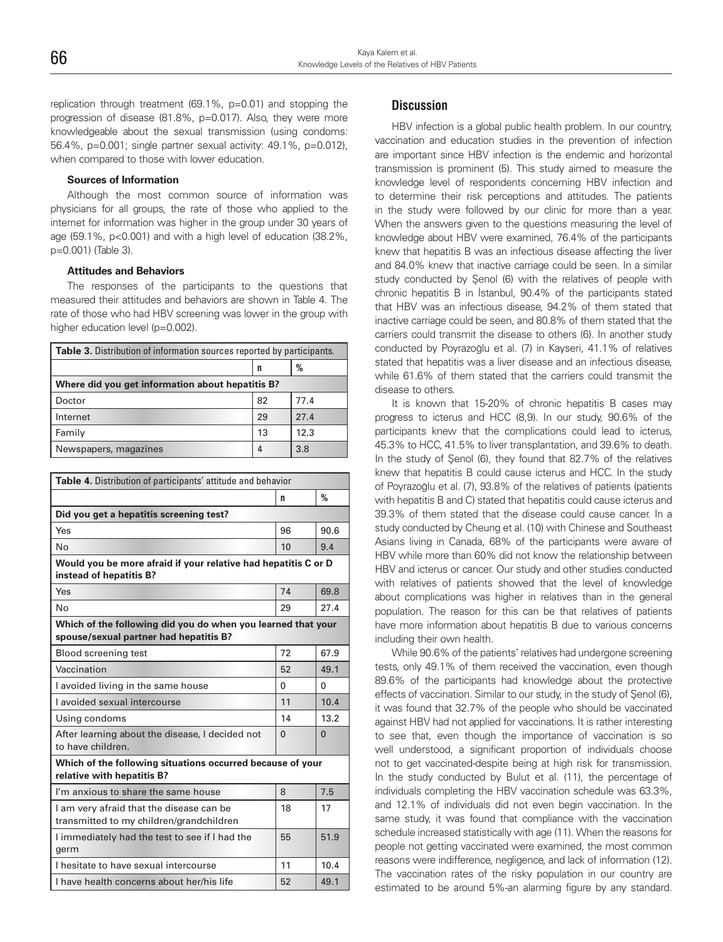replication through treatment (69.1%, p=0.01) and stopping the progression of disease (81.8%, p=0.017). Also, they were more knowledgeable about the sexual transmission (using condoms: 56.4%, p=0.001; single partner sexual activity: 49.1%, p=0.012), when compared to those with lower education.

#### **Sources of Information**

Although the most common source of information was physicians for all groups, the rate of those who applied to the internet for information was higher in the group under 30 years of age (59.1%, p<0.001) and with a high level of education (38.2%, p=0.001) (Table 3).

#### **Attitudes and Behaviors**

The responses of the participants to the questions that measured their attitudes and behaviors are shown in Table 4. The rate of those who had HBV screening was lower in the group with higher education level (p=0.002).

| <b>Table 3.</b> Distribution of information sources reported by participants. |    |      |  |
|-------------------------------------------------------------------------------|----|------|--|
|                                                                               | n  | %    |  |
| Where did you get information about hepatitis B?                              |    |      |  |
| Doctor                                                                        | 82 | 77.4 |  |
| Internet                                                                      | 29 | 27.4 |  |
| Family                                                                        | 13 | 12.3 |  |
| Newspapers, magazines                                                         | 4  | 3.8  |  |

| Table 4. Distribution of participants' attitude and behavior                                           |          |          |  |
|--------------------------------------------------------------------------------------------------------|----------|----------|--|
|                                                                                                        | n        | %        |  |
| Did you get a hepatitis screening test?                                                                |          |          |  |
| Yes                                                                                                    | 96       | 90.6     |  |
| <b>No</b>                                                                                              | 10       | 9.4      |  |
| Would you be more afraid if your relative had hepatitis C or D<br>instead of hepatitis B?              |          |          |  |
| Yes                                                                                                    | 74       | 69.8     |  |
| No                                                                                                     | 29       | 27.4     |  |
| Which of the following did you do when you learned that your<br>spouse/sexual partner had hepatitis B? |          |          |  |
| <b>Blood screening test</b>                                                                            | 72       | 67.9     |  |
| Vaccination                                                                                            | 52       | 49.1     |  |
| I avoided living in the same house                                                                     | U        | U        |  |
| I avoided sexual intercourse                                                                           | 11       | 10.4     |  |
| Using condoms                                                                                          | 14       | 13.2     |  |
| After learning about the disease, I decided not<br>to have children.                                   | $\Omega$ | $\Omega$ |  |
| Which of the following situations occurred because of your<br>relative with hepatitis B?               |          |          |  |
| I'm anxious to share the same house                                                                    | 8        | 7.5      |  |
| I am very afraid that the disease can be<br>transmitted to my children/grandchildren                   | 18       | 17       |  |
| I immediately had the test to see if I had the<br>germ                                                 | 55       | 51.9     |  |
| I hesitate to have sexual intercourse                                                                  | 11       | 10.4     |  |
| I have health concerns about her/his life                                                              | 52       | 49.1     |  |

### **Discussion**

HBV infection is a global public health problem. In our country, vaccination and education studies in the prevention of infection are important since HBV infection is the endemic and horizontal transmission is prominent (5). This study aimed to measure the knowledge level of respondents concerning HBV infection and to determine their risk perceptions and attitudes. The patients in the study were followed by our clinic for more than a year. When the answers given to the questions measuring the level of knowledge about HBV were examined, 76.4% of the participants knew that hepatitis B was an infectious disease affecting the liver and 84.0% knew that inactive carriage could be seen. In a similar study conducted by Şenol (6) with the relatives of people with chronic hepatitis B in İstanbul, 90.4% of the participants stated that HBV was an infectious disease, 94.2% of them stated that inactive carriage could be seen, and 80.8% of them stated that the carriers could transmit the disease to others (6). In another study conducted by Poyrazoğlu et al. (7) in Kayseri, 41.1% of relatives stated that hepatitis was a liver disease and an infectious disease, while 61.6% of them stated that the carriers could transmit the disease to others.

It is known that 15-20% of chronic hepatitis B cases may progress to icterus and HCC (8,9). In our study, 90.6% of the participants knew that the complications could lead to icterus, 45.3% to HCC, 41.5% to liver transplantation, and 39.6% to death. In the study of Şenol (6), they found that 82.7% of the relatives knew that hepatitis B could cause icterus and HCC. In the study of Poyrazoğlu et al. (7), 93.8% of the relatives of patients (patients with hepatitis B and C) stated that hepatitis could cause icterus and 39.3% of them stated that the disease could cause cancer. In a study conducted by Cheung et al. (10) with Chinese and Southeast Asians living in Canada, 68% of the participants were aware of HBV while more than 60% did not know the relationship between HBV and icterus or cancer. Our study and other studies conducted with relatives of patients showed that the level of knowledge about complications was higher in relatives than in the general population. The reason for this can be that relatives of patients have more information about hepatitis B due to various concerns including their own health.

While 90.6% of the patients' relatives had undergone screening tests, only 49.1% of them received the vaccination, even though 89.6% of the participants had knowledge about the protective effects of vaccination. Similar to our study, in the study of Şenol (6), it was found that 32.7% of the people who should be vaccinated against HBV had not applied for vaccinations. It is rather interesting to see that, even though the importance of vaccination is so well understood, a significant proportion of individuals choose not to get vaccinated-despite being at high risk for transmission. In the study conducted by Bulut et al. (11), the percentage of individuals completing the HBV vaccination schedule was 63.3%, and 12.1% of individuals did not even begin vaccination. In the same study, it was found that compliance with the vaccination schedule increased statistically with age (11). When the reasons for people not getting vaccinated were examined, the most common reasons were indifference, negligence, and lack of information (12). The vaccination rates of the risky population in our country are estimated to be around 5%-an alarming figure by any standard.